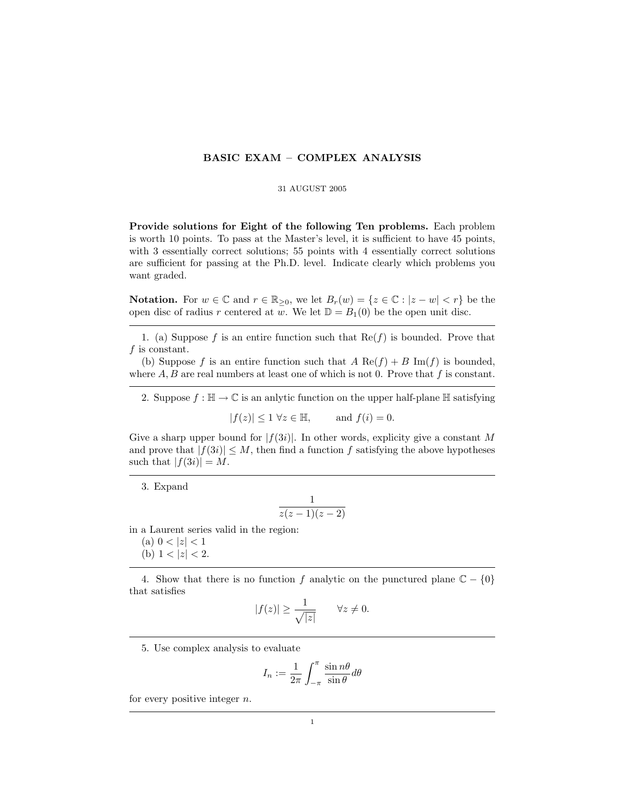## BASIC EXAM – COMPLEX ANALYSIS

## 31 AUGUST 2005

Provide solutions for Eight of the following Ten problems. Each problem is worth 10 points. To pass at the Master's level, it is sufficient to have 45 points, with 3 essentially correct solutions; 55 points with 4 essentially correct solutions are sufficient for passing at the Ph.D. level. Indicate clearly which problems you want graded.

**Notation.** For  $w \in \mathbb{C}$  and  $r \in \mathbb{R}_{\geq 0}$ , we let  $B_r(w) = \{z \in \mathbb{C} : |z - w| < r\}$  be the open disc of radius r centered at w. We let  $\mathbb{D} = B_1(0)$  be the open unit disc.

1. (a) Suppose f is an entire function such that  $\text{Re}(f)$  is bounded. Prove that f is constant.

(b) Suppose f is an entire function such that  $A \text{Re}(f) + B \text{Im}(f)$  is bounded, where  $A, B$  are real numbers at least one of which is not 0. Prove that f is constant.

2. Suppose  $f : \mathbb{H} \to \mathbb{C}$  is an anlytic function on the upper half-plane  $\mathbb{H}$  satisfying

$$
|f(z)| \le 1 \,\forall z \in \mathbb{H}, \quad \text{and } f(i) = 0.
$$

Give a sharp upper bound for  $|f(3i)|$ . In other words, explicity give a constant M and prove that  $|f(3i)| \leq M$ , then find a function f satisfying the above hypotheses such that  $|f(3i)| = M$ .

3. Expand

$$
\frac{1}{z(z-1)(z-2)}
$$

in a Laurent series valid in the region:

(a)  $0 < |z| < 1$ 

(b)  $1 < |z| < 2$ .

4. Show that there is no function f analytic on the punctured plane  $\mathbb{C} - \{0\}$ that satisfies

$$
|f(z)| \ge \frac{1}{\sqrt{|z|}} \qquad \forall z \neq 0.
$$

5. Use complex analysis to evaluate

$$
I_n := \frac{1}{2\pi} \int_{-\pi}^{\pi} \frac{\sin n\theta}{\sin \theta} d\theta
$$

for every positive integer  $n$ .